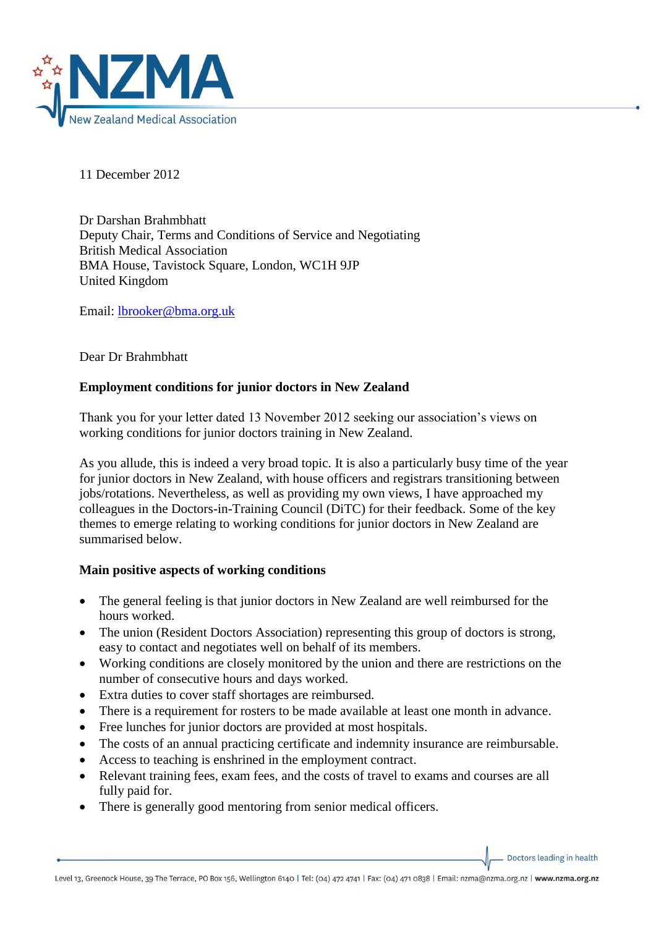

11 December 2012

Dr Darshan Brahmbhatt Deputy Chair, Terms and Conditions of Service and Negotiating British Medical Association BMA House, Tavistock Square, London, WC1H 9JP United Kingdom

Email: [lbrooker@bma.org.uk](mailto:lbrooker@bma.org.uk)

Dear Dr Brahmbhatt

# **Employment conditions for junior doctors in New Zealand**

Thank you for your letter dated 13 November 2012 seeking our association's views on working conditions for junior doctors training in New Zealand.

As you allude, this is indeed a very broad topic. It is also a particularly busy time of the year for junior doctors in New Zealand, with house officers and registrars transitioning between jobs/rotations. Nevertheless, as well as providing my own views, I have approached my colleagues in the Doctors-in-Training Council (DiTC) for their feedback. Some of the key themes to emerge relating to working conditions for junior doctors in New Zealand are summarised below.

## **Main positive aspects of working conditions**

- The general feeling is that junior doctors in New Zealand are well reimbursed for the hours worked.
- The union (Resident Doctors Association) representing this group of doctors is strong, easy to contact and negotiates well on behalf of its members.
- Working conditions are closely monitored by the union and there are restrictions on the number of consecutive hours and days worked.
- Extra duties to cover staff shortages are reimbursed.
- There is a requirement for rosters to be made available at least one month in advance.
- Free lunches for junior doctors are provided at most hospitals.
- The costs of an annual practicing certificate and indemnity insurance are reimbursable.
- Access to teaching is enshrined in the employment contract.
- Relevant training fees, exam fees, and the costs of travel to exams and courses are all fully paid for.
- There is generally good mentoring from senior medical officers.

Doctors leading in health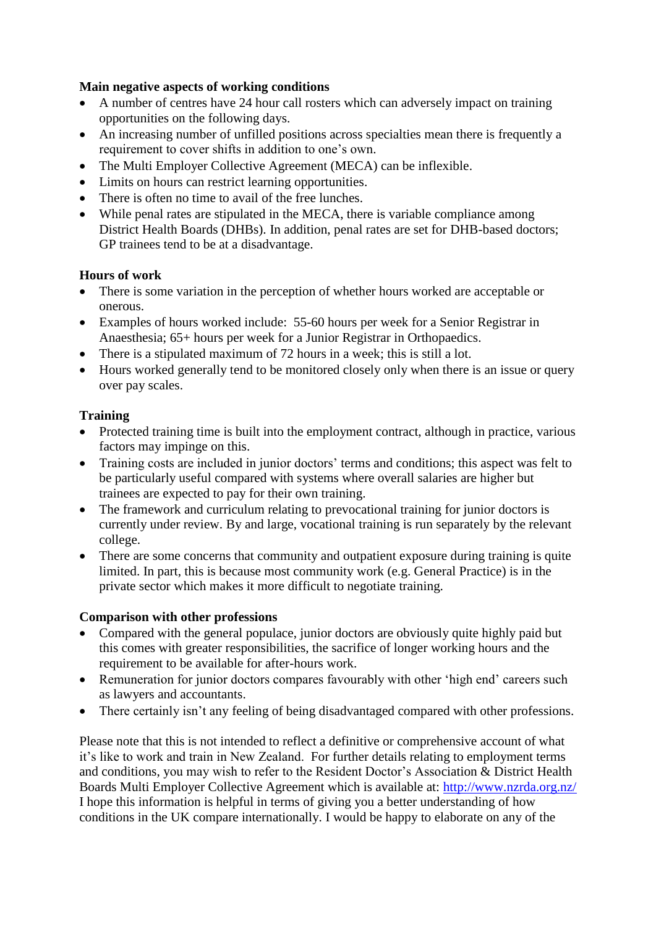## **Main negative aspects of working conditions**

- A number of centres have 24 hour call rosters which can adversely impact on training opportunities on the following days.
- An increasing number of unfilled positions across specialties mean there is frequently a requirement to cover shifts in addition to one's own.
- The Multi Employer Collective Agreement (MECA) can be inflexible.
- Limits on hours can restrict learning opportunities.
- There is often no time to avail of the free lunches.
- While penal rates are stipulated in the MECA, there is variable compliance among District Health Boards (DHBs). In addition, penal rates are set for DHB-based doctors; GP trainees tend to be at a disadvantage.

## **Hours of work**

- There is some variation in the perception of whether hours worked are acceptable or onerous.
- Examples of hours worked include: 55-60 hours per week for a Senior Registrar in Anaesthesia; 65+ hours per week for a Junior Registrar in Orthopaedics.
- There is a stipulated maximum of 72 hours in a week; this is still a lot.
- Hours worked generally tend to be monitored closely only when there is an issue or query over pay scales.

#### **Training**

- Protected training time is built into the employment contract, although in practice, various factors may impinge on this.
- Training costs are included in junior doctors' terms and conditions; this aspect was felt to be particularly useful compared with systems where overall salaries are higher but trainees are expected to pay for their own training.
- The framework and curriculum relating to prevocational training for junior doctors is currently under review. By and large, vocational training is run separately by the relevant college.
- There are some concerns that community and outpatient exposure during training is quite limited. In part, this is because most community work (e.g. General Practice) is in the private sector which makes it more difficult to negotiate training.

## **Comparison with other professions**

- Compared with the general populace, junior doctors are obviously quite highly paid but this comes with greater responsibilities, the sacrifice of longer working hours and the requirement to be available for after-hours work.
- Remuneration for junior doctors compares favourably with other 'high end' careers such as lawyers and accountants.
- There certainly isn't any feeling of being disadvantaged compared with other professions.

Please note that this is not intended to reflect a definitive or comprehensive account of what it's like to work and train in New Zealand. For further details relating to employment terms and conditions, you may wish to refer to the Resident Doctor's Association & District Health Boards Multi Employer Collective Agreement which is available at:<http://www.nzrda.org.nz/> I hope this information is helpful in terms of giving you a better understanding of how conditions in the UK compare internationally. I would be happy to elaborate on any of the